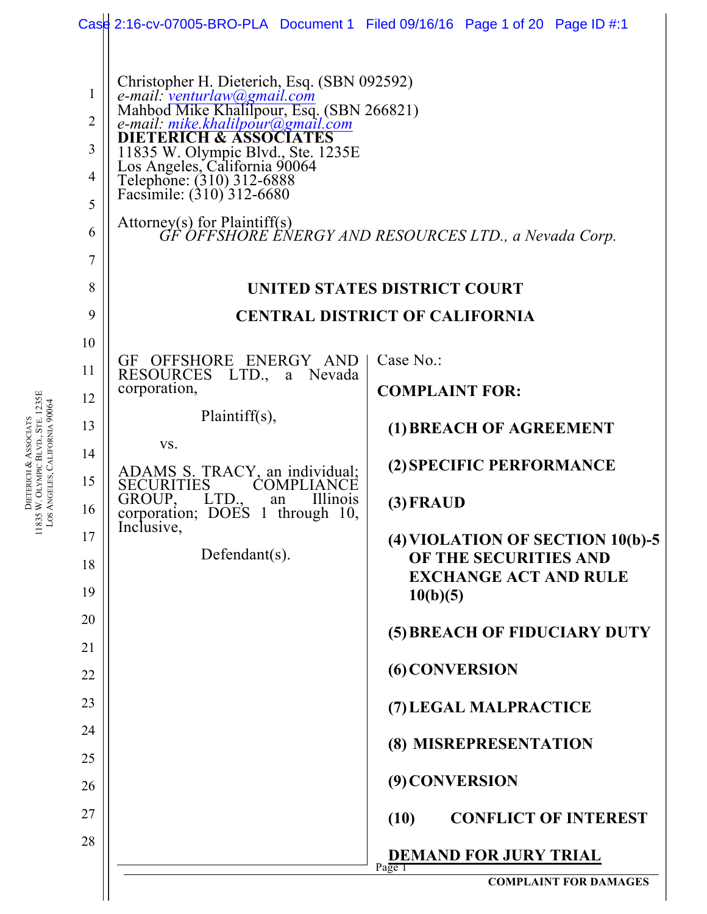|                                                                             |                                                                                                                                                                                                                                                                                                                                                                                                                                                                    | Case 2:16-cv-07005-BRO-PLA Document 1 Filed 09/16/16 Page 1 of 20 Page ID #:1 |  |  |  |  |  |  |  |  |
|-----------------------------------------------------------------------------|--------------------------------------------------------------------------------------------------------------------------------------------------------------------------------------------------------------------------------------------------------------------------------------------------------------------------------------------------------------------------------------------------------------------------------------------------------------------|-------------------------------------------------------------------------------|--|--|--|--|--|--|--|--|
| 1<br>$\overline{2}$<br>3<br>$\overline{4}$<br>5<br>6<br>$\overline{7}$<br>8 | Christopher H. Dieterich, Esq. (SBN 092592)<br>e-mail: <u>venturlaw@gmail.com</u><br>Mahbod Mike Khalilpour, Esq. (SBN 266821)<br>e-mail: mike.khalilpour@gmail.com<br><b>DIETERICH &amp; ASSOCIATES</b><br>11835 W. Olympic Blvd., Ste. 1235E<br>Los Angeles, California 90064<br>Telephone: (310) 312-6888<br>Facsimile: (310) 312-6680<br>Attorney(s) for Plaintiff(s)<br>GF OFFSHORE ENERGY AND RESOURCES LTD., a Nevada Corp.<br>UNITED STATES DISTRICT COURT |                                                                               |  |  |  |  |  |  |  |  |
| 9                                                                           | <b>CENTRAL DISTRICT OF CALIFORNIA</b>                                                                                                                                                                                                                                                                                                                                                                                                                              |                                                                               |  |  |  |  |  |  |  |  |
| 10                                                                          |                                                                                                                                                                                                                                                                                                                                                                                                                                                                    |                                                                               |  |  |  |  |  |  |  |  |
| 11                                                                          | GF OFFSHORE ENERGY AND<br>RESOURCES LTD., a Nevada                                                                                                                                                                                                                                                                                                                                                                                                                 | Case No.:                                                                     |  |  |  |  |  |  |  |  |
| 12                                                                          | corporation,                                                                                                                                                                                                                                                                                                                                                                                                                                                       | <b>COMPLAINT FOR:</b>                                                         |  |  |  |  |  |  |  |  |
| 13                                                                          | Plaintiff $(s)$ ,                                                                                                                                                                                                                                                                                                                                                                                                                                                  | (1) BREACH OF AGREEMENT                                                       |  |  |  |  |  |  |  |  |
| 14                                                                          | VS.<br>ADAMS S. TRACY, an individual;                                                                                                                                                                                                                                                                                                                                                                                                                              | (2) SPECIFIC PERFORMANCE                                                      |  |  |  |  |  |  |  |  |
| 15                                                                          | <b>SECURITIES</b><br><b>COMPLIANCE</b>                                                                                                                                                                                                                                                                                                                                                                                                                             |                                                                               |  |  |  |  |  |  |  |  |
| 16                                                                          | GROUP, LTD., an Illinois<br>corporation; DOES 1 through 10,<br>Inclusive,                                                                                                                                                                                                                                                                                                                                                                                          | $(3)$ FRAUD                                                                   |  |  |  |  |  |  |  |  |
| 17                                                                          | Defendant $(s)$ .                                                                                                                                                                                                                                                                                                                                                                                                                                                  | (4) VIOLATION OF SECTION 10(b)-5                                              |  |  |  |  |  |  |  |  |
| 18                                                                          |                                                                                                                                                                                                                                                                                                                                                                                                                                                                    | OF THE SECURITIES AND<br><b>EXCHANGE ACT AND RULE</b>                         |  |  |  |  |  |  |  |  |
| 19                                                                          |                                                                                                                                                                                                                                                                                                                                                                                                                                                                    | 10(b)(5)                                                                      |  |  |  |  |  |  |  |  |
| 20                                                                          |                                                                                                                                                                                                                                                                                                                                                                                                                                                                    | (5) BREACH OF FIDUCIARY DUTY                                                  |  |  |  |  |  |  |  |  |
| 21                                                                          |                                                                                                                                                                                                                                                                                                                                                                                                                                                                    |                                                                               |  |  |  |  |  |  |  |  |
| 22                                                                          |                                                                                                                                                                                                                                                                                                                                                                                                                                                                    | (6) CONVERSION                                                                |  |  |  |  |  |  |  |  |
| 23                                                                          |                                                                                                                                                                                                                                                                                                                                                                                                                                                                    | (7) LEGAL MALPRACTICE                                                         |  |  |  |  |  |  |  |  |
| 24                                                                          |                                                                                                                                                                                                                                                                                                                                                                                                                                                                    | (8) MISREPRESENTATION                                                         |  |  |  |  |  |  |  |  |
| 25                                                                          |                                                                                                                                                                                                                                                                                                                                                                                                                                                                    | (9) CONVERSION                                                                |  |  |  |  |  |  |  |  |
| 26                                                                          |                                                                                                                                                                                                                                                                                                                                                                                                                                                                    |                                                                               |  |  |  |  |  |  |  |  |
| 27                                                                          |                                                                                                                                                                                                                                                                                                                                                                                                                                                                    | <b>CONFLICT OF INTEREST</b><br>(10)                                           |  |  |  |  |  |  |  |  |
| 28                                                                          | <b>DEMAND FOR JURY TRIAL</b><br>Page 1                                                                                                                                                                                                                                                                                                                                                                                                                             |                                                                               |  |  |  |  |  |  |  |  |
|                                                                             |                                                                                                                                                                                                                                                                                                                                                                                                                                                                    | <b>COMPLAINT FOR DAMAGES</b>                                                  |  |  |  |  |  |  |  |  |

**DIETERICH** & ASSOCIATS 11835 W. OLYMPIC BLVD., STE. 1235E LOS ANGELES, CALIFORNIA 90064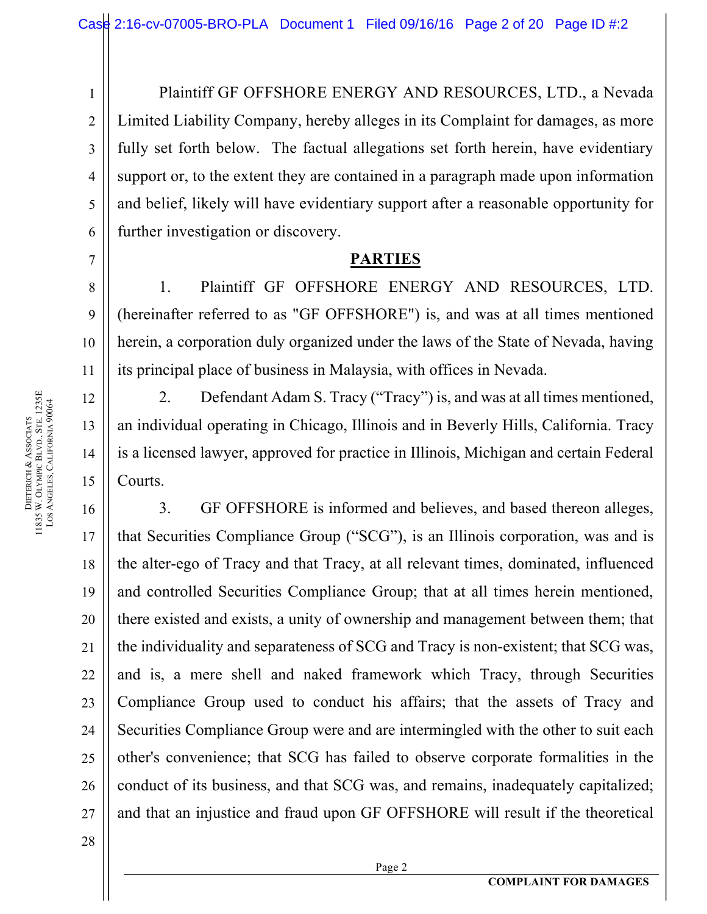Plaintiff GF OFFSHORE ENERGY AND RESOURCES, LTD., a Nevada Limited Liability Company, hereby alleges in its Complaint for damages, as more fully set forth below. The factual allegations set forth herein, have evidentiary support or, to the extent they are contained in a paragraph made upon information and belief, likely will have evidentiary support after a reasonable opportunity for further investigation or discovery.

### **PARTIES**

1. Plaintiff GF OFFSHORE ENERGY AND RESOURCES, LTD. (hereinafter referred to as "GF OFFSHORE") is, and was at all times mentioned herein, a corporation duly organized under the laws of the State of Nevada, having its principal place of business in Malaysia, with offices in Nevada.

2. Defendant Adam S. Tracy ("Tracy") is, and was at all times mentioned, an individual operating in Chicago, Illinois and in Beverly Hills, California. Tracy is a licensed lawyer, approved for practice in Illinois, Michigan and certain Federal Courts.

16 16 17 17 18 18 19 19 20 20 21 21 22 22 23 23 24 24 25 25 26 26 27 27 3. GF OFFSHORE is informed and believes, and based thereon alleges, that Securities Compliance Group ("SCG"), is an Illinois corporation, was and is the alter-ego of Tracy and that Tracy, at all relevant times, dominated, influenced and controlled Securities Compliance Group; that at all times herein mentioned, there existed and exists, a unity of ownership and management between them; that the individuality and separateness of SCG and Tracy is non-existent; that SCG was, and is, a mere shell and naked framework which Tracy, through Securities Compliance Group used to conduct his affairs; that the assets of Tracy and Securities Compliance Group were and are intermingled with the other to suit each other's convenience; that SCG has failed to observe corporate formalities in the conduct of its business, and that SCG was, and remains, inadequately capitalized; and that an injustice and fraud upon GF OFFSHORE will result if the theoretical

1 1

2 2

3 3

4 4

5 5

6 6

7 7

8 8

9 9

10 10

11 11

12 12

13 13

14 14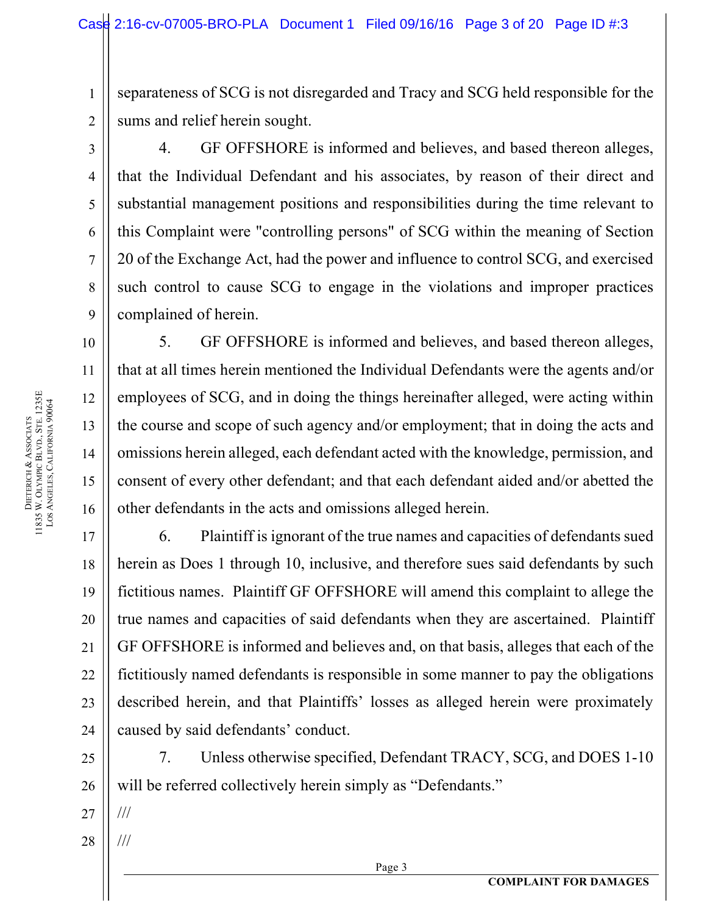separateness of SCG is not disregarded and Tracy and SCG held responsible for the sums and relief herein sought.

1 1

2 2

3 3

4 4

5 5

6 6

7 7

8 8

9 9

10 10

11 11

12 12

13 13

14 14

15 15

16 16

17 17

18 18

19 19

20 20

21 21

22 22

23 23

24 24

4. GF OFFSHORE is informed and believes, and based thereon alleges, that the Individual Defendant and his associates, by reason of their direct and substantial management positions and responsibilities during the time relevant to this Complaint were "controlling persons" of SCG within the meaning of Section 20 of the Exchange Act, had the power and influence to control SCG, and exercised such control to cause SCG to engage in the violations and improper practices complained of herein.

5. GF OFFSHORE is informed and believes, and based thereon alleges, that at all times herein mentioned the Individual Defendants were the agents and/or employees of SCG, and in doing the things hereinafter alleged, were acting within the course and scope of such agency and/or employment; that in doing the acts and omissions herein alleged, each defendant acted with the knowledge, permission, and consent of every other defendant; and that each defendant aided and/or abetted the other defendants in the acts and omissions alleged herein.

6. Plaintiff is ignorant of the true names and capacities of defendants sued herein as Does 1 through 10, inclusive, and therefore sues said defendants by such fictitious names. Plaintiff GF OFFSHORE will amend this complaint to allege the true names and capacities of said defendants when they are ascertained. Plaintiff GF OFFSHORE is informed and believes and, on that basis, alleges that each of the fictitiously named defendants is responsible in some manner to pay the obligations described herein, and that Plaintiffs' losses as alleged herein were proximately caused by said defendants' conduct.

25 25 26 26 7. Unless otherwise specified, Defendant TRACY, SCG, and DOES 1-10 will be referred collectively herein simply as "Defendants."

27 27 ///

///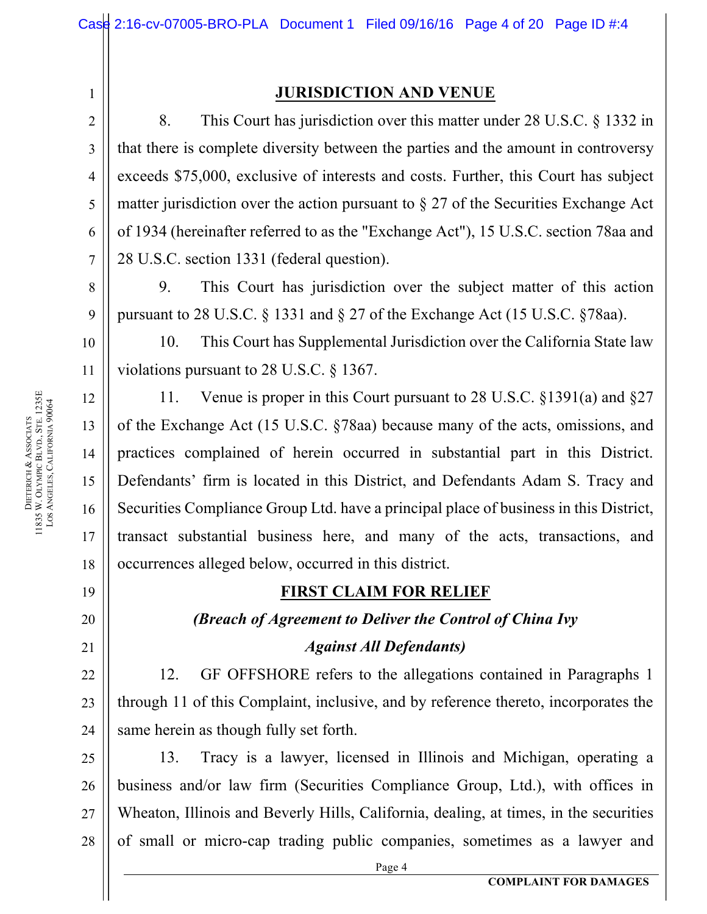#### **JURISDICTION AND VENUE**

8. This Court has jurisdiction over this matter under 28 U.S.C. § 1332 in that there is complete diversity between the parties and the amount in controversy exceeds \$75,000, exclusive of interests and costs. Further, this Court has subject matter jurisdiction over the action pursuant to  $\S 27$  of the Securities Exchange Act of 1934 (hereinafter referred to as the "Exchange Act"), 15 U.S.C. section 78aa and 28 U.S.C. section 1331 (federal question).

9. This Court has jurisdiction over the subject matter of this action pursuant to 28 U.S.C. § 1331 and § 27 of the Exchange Act (15 U.S.C. §78aa).

10. This Court has Supplemental Jurisdiction over the California State law violations pursuant to 28 U.S.C. § 1367.

11. Venue is proper in this Court pursuant to 28 U.S.C. §1391(a) and §27 of the Exchange Act (15 U.S.C. §78aa) because many of the acts, omissions, and practices complained of herein occurred in substantial part in this District. Defendants' firm is located in this District, and Defendants Adam S. Tracy and Securities Compliance Group Ltd. have a principal place of business in this District, transact substantial business here, and many of the acts, transactions, and occurrences alleged below, occurred in this district.

#### **FIRST CLAIM FOR RELIEF**

#### *(Breach of Agreement to Deliver the Control of China Ivy*

#### *Against All Defendants)*

12. GF OFFSHORE refers to the allegations contained in Paragraphs 1 through 11 of this Complaint, inclusive, and by reference thereto, incorporates the same herein as though fully set forth.

25 25 26 26 27 27 28 28 13. Tracy is a lawyer, licensed in Illinois and Michigan, operating a business and/or law firm (Securities Compliance Group, Ltd.), with offices in Wheaton, Illinois and Beverly Hills, California, dealing, at times, in the securities of small or micro-cap trading public companies, sometimes as a lawyer and

1 1

2 2

3 3

4 4

5 5

6 6

7 7

8 8

9 9

10 10

11 11

12 12

13 13

14 14

15 15

16 16

17 17

18 18

19 19

20 20

21 21

22 22

23 23

24 24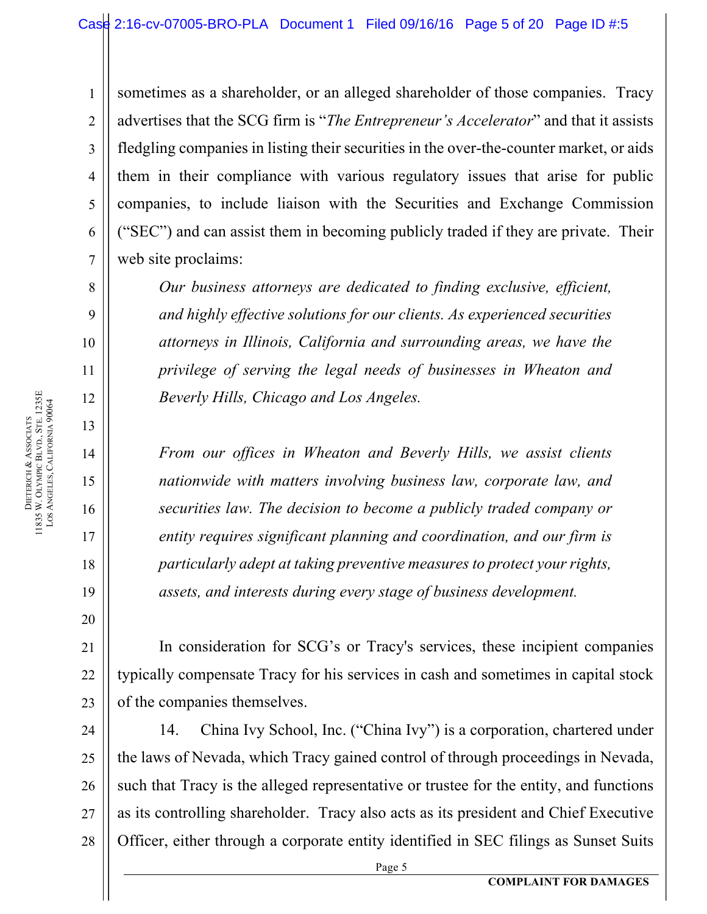sometimes as a shareholder, or an alleged shareholder of those companies. Tracy advertises that the SCG firm is "*The Entrepreneur's Accelerator*" and that it assists fledgling companies in listing their securities in the over-the-counter market, or aids them in their compliance with various regulatory issues that arise for public companies, to include liaison with the Securities and Exchange Commission ("SEC") and can assist them in becoming publicly traded if they are private. Their web site proclaims:

*Our business attorneys are dedicated to finding exclusive, efficient, and highly effective solutions for our clients. As experienced securities attorneys in Illinois, California and surrounding areas, we have the privilege of serving the legal needs of businesses in Wheaton and Beverly Hills, Chicago and Los Angeles.*

*From our offices in Wheaton and Beverly Hills, we assist clients nationwide with matters involving business law, corporate law, and securities law. The decision to become a publicly traded company or entity requires significant planning and coordination, and our firm is particularly adept at taking preventive measures to protect your rights, assets, and interests during every stage of business development.* 

In consideration for SCG's or Tracy's services, these incipient companies typically compensate Tracy for his services in cash and sometimes in capital stock of the companies themselves.

24 24 25 25 26 26 27 27 28 28 14. China Ivy School, Inc. ("China Ivy") is a corporation, chartered under the laws of Nevada, which Tracy gained control of through proceedings in Nevada, such that Tracy is the alleged representative or trustee for the entity, and functions as its controlling shareholder. Tracy also acts as its president and Chief Executive Officer, either through a corporate entity identified in SEC filings as Sunset Suits

1 1

2 2

3 3

4 4

5 5

6 6

7 7

8 8

9 9

10 10

11 11

12 12

13 13

14 14

15 15

16 16

17 17

18 18

19 19

20 20

21 21

22 22

23 23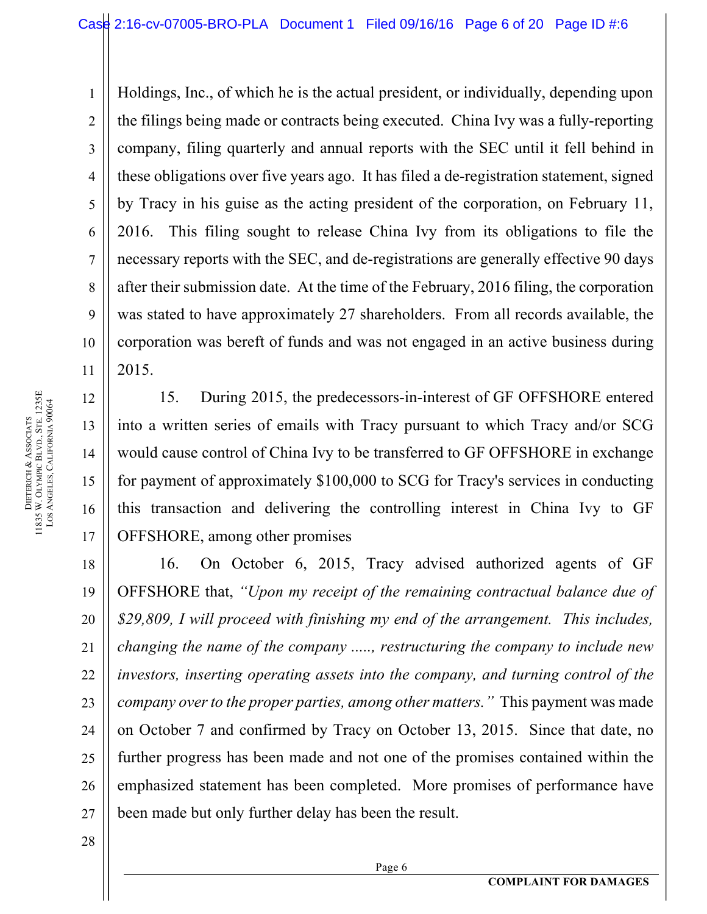Holdings, Inc., of which he is the actual president, or individually, depending upon the filings being made or contracts being executed. China Ivy was a fully-reporting company, filing quarterly and annual reports with the SEC until it fell behind in these obligations over five years ago. It has filed a de-registration statement, signed by Tracy in his guise as the acting president of the corporation, on February 11, 2016. This filing sought to release China Ivy from its obligations to file the necessary reports with the SEC, and de-registrations are generally effective 90 days after their submission date. At the time of the February, 2016 filing, the corporation was stated to have approximately 27 shareholders. From all records available, the corporation was bereft of funds and was not engaged in an active business during 2015.

15. During 2015, the predecessors-in-interest of GF OFFSHORE entered into a written series of emails with Tracy pursuant to which Tracy and/or SCG would cause control of China Ivy to be transferred to GF OFFSHORE in exchange for payment of approximately \$100,000 to SCG for Tracy's services in conducting this transaction and delivering the controlling interest in China Ivy to GF OFFSHORE, among other promises

18 18 19 19 20 20 21 21 22 22 23 23 24 24 25 25 26 26 27 27 16. On October 6, 2015, Tracy advised authorized agents of GF OFFSHORE that, *"Upon my receipt of the remaining contractual balance due of \$29,809, I will proceed with finishing my end of the arrangement. This includes, changing the name of the company ....., restructuring the company to include new investors, inserting operating assets into the company, and turning control of the company over to the proper parties, among other matters."* This payment was made on October 7 and confirmed by Tracy on October 13, 2015. Since that date, no further progress has been made and not one of the promises contained within the emphasized statement has been completed. More promises of performance have been made but only further delay has been the result.

Page 6

28 28

**DIETERICH** & ASSOCIATS 11835 W. OLYMPIC BLVD., STE. 1235E LOS ANGELES, CALIFORNIA 90064 1 1

2 2

3 3

4 4

5 5

6 6

7 7

8 8

9 9

10 10

11 11

12 12

13 13

14 14

15 15

16 16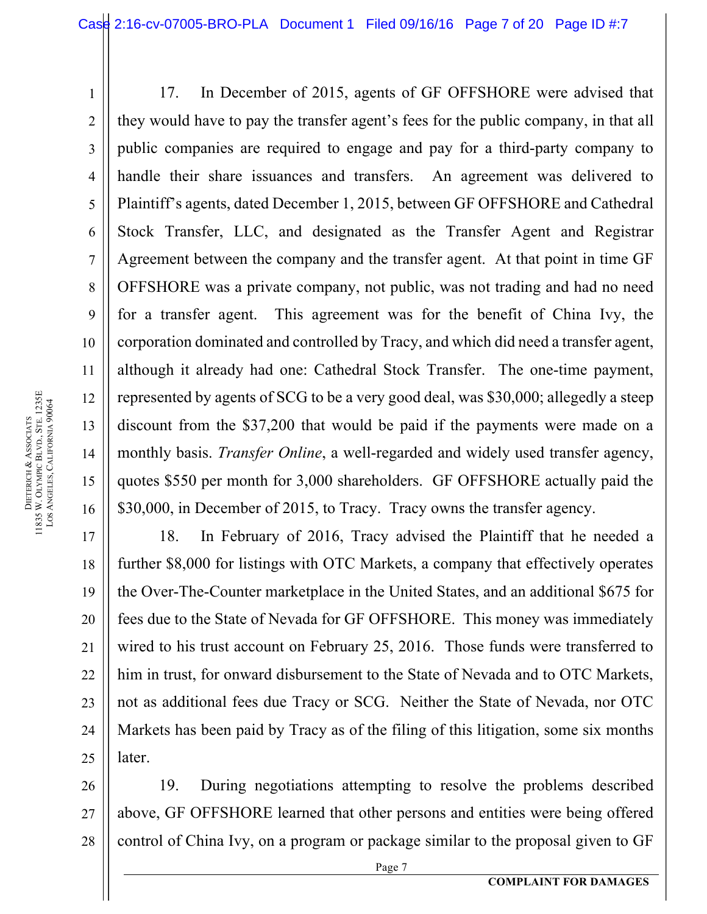17. In December of 2015, agents of GF OFFSHORE were advised that they would have to pay the transfer agent's fees for the public company, in that all public companies are required to engage and pay for a third-party company to handle their share issuances and transfers. An agreement was delivered to Plaintiff's agents, dated December 1, 2015, between GF OFFSHORE and Cathedral Stock Transfer, LLC, and designated as the Transfer Agent and Registrar Agreement between the company and the transfer agent. At that point in time GF OFFSHORE was a private company, not public, was not trading and had no need for a transfer agent. This agreement was for the benefit of China Ivy, the corporation dominated and controlled by Tracy, and which did need a transfer agent, although it already had one: Cathedral Stock Transfer. The one-time payment, represented by agents of SCG to be a very good deal, was \$30,000; allegedly a steep discount from the \$37,200 that would be paid if the payments were made on a monthly basis. *Transfer Online*, a well-regarded and widely used transfer agency, quotes \$550 per month for 3,000 shareholders. GF OFFSHORE actually paid the \$30,000, in December of 2015, to Tracy. Tracy owns the transfer agency.

17 17 18 18 19 19 20 20 21 21 22 22 23 23 24 24 25 25 18. In February of 2016, Tracy advised the Plaintiff that he needed a further \$8,000 for listings with OTC Markets, a company that effectively operates the Over-The-Counter marketplace in the United States, and an additional \$675 for fees due to the State of Nevada for GF OFFSHORE. This money was immediately wired to his trust account on February 25, 2016. Those funds were transferred to him in trust, for onward disbursement to the State of Nevada and to OTC Markets, not as additional fees due Tracy or SCG. Neither the State of Nevada, nor OTC Markets has been paid by Tracy as of the filing of this litigation, some six months later.

26 26 27 27 28 28 19. During negotiations attempting to resolve the problems described above, GF OFFSHORE learned that other persons and entities were being offered control of China Ivy, on a program or package similar to the proposal given to GF

1 1

2 2

3 3

4 4

5 5

6 6

7 7

8 8

9 9

10 10

11 11

12 12

13 13

14 14

15 15

```
Page 7
```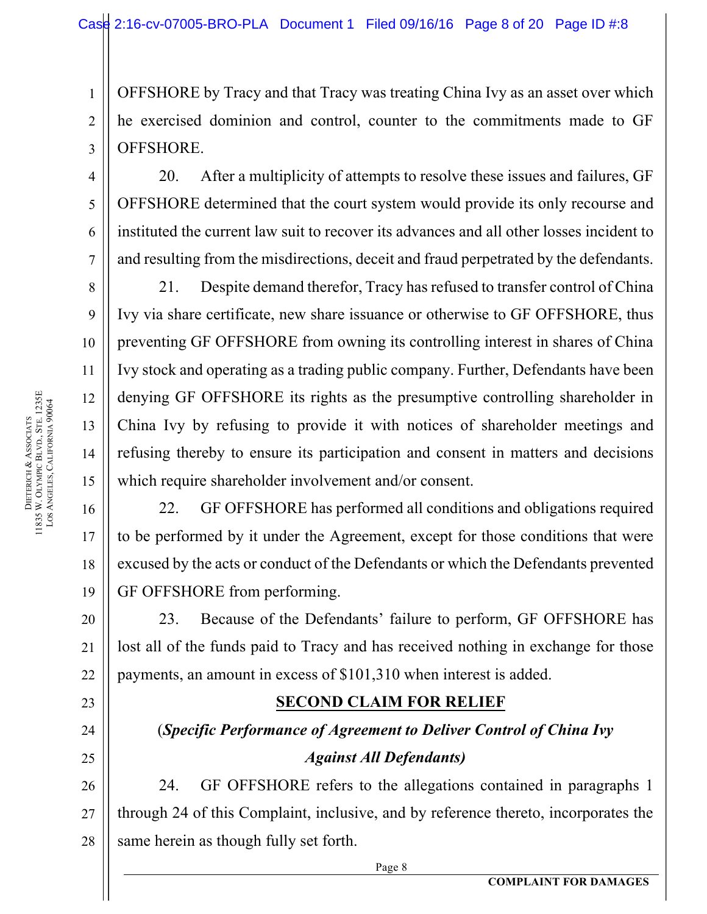OFFSHORE by Tracy and that Tracy was treating China Ivy as an asset over which he exercised dominion and control, counter to the commitments made to GF OFFSHORE.

20. After a multiplicity of attempts to resolve these issues and failures, GF OFFSHORE determined that the court system would provide its only recourse and instituted the current law suit to recover its advances and all other losses incident to and resulting from the misdirections, deceit and fraud perpetrated by the defendants.

21. Despite demand therefor, Tracy has refused to transfer control of China Ivy via share certificate, new share issuance or otherwise to GF OFFSHORE, thus preventing GF OFFSHORE from owning its controlling interest in shares of China Ivy stock and operating as a trading public company. Further, Defendants have been denying GF OFFSHORE its rights as the presumptive controlling shareholder in China Ivy by refusing to provide it with notices of shareholder meetings and refusing thereby to ensure its participation and consent in matters and decisions which require shareholder involvement and/or consent.

22. GF OFFSHORE has performed all conditions and obligations required to be performed by it under the Agreement, except for those conditions that were excused by the acts or conduct of the Defendants or which the Defendants prevented GF OFFSHORE from performing.

23. Because of the Defendants' failure to perform, GF OFFSHORE has lost all of the funds paid to Tracy and has received nothing in exchange for those payments, an amount in excess of \$101,310 when interest is added.

### **SECOND CLAIM FOR RELIEF**

# (*Specific Performance of Agreement to Deliver Control of China Ivy Against All Defendants)*

26 26 27 27 28 28 24. GF OFFSHORE refers to the allegations contained in paragraphs 1 through 24 of this Complaint, inclusive, and by reference thereto, incorporates the same herein as though fully set forth.

Page 8

1 1

2 2

3 3

4 4

5 5

6 6

7 7

8 8

9 9

10 10

11 11

12 12

13 13

14 14

15 15

16 16

17 17

18 18

19 19

20 20

21 21

22 22

23 23

24 24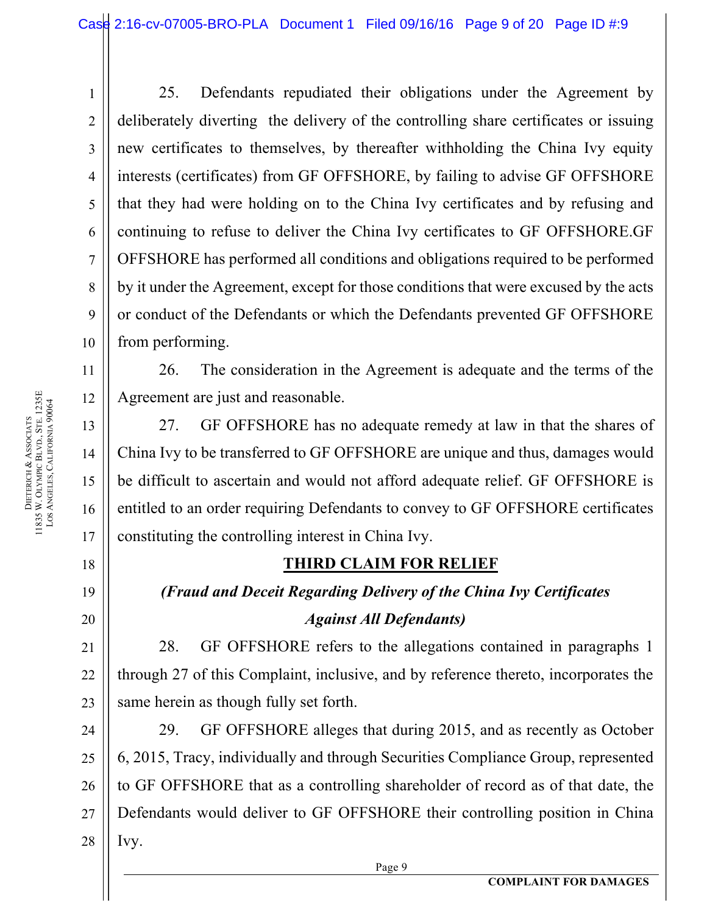25. Defendants repudiated their obligations under the Agreement by deliberately diverting the delivery of the controlling share certificates or issuing new certificates to themselves, by thereafter withholding the China Ivy equity interests (certificates) from GF OFFSHORE, by failing to advise GF OFFSHORE that they had were holding on to the China Ivy certificates and by refusing and continuing to refuse to deliver the China Ivy certificates to GF OFFSHORE.GF OFFSHORE has performed all conditions and obligations required to be performed by it under the Agreement, except for those conditions that were excused by the acts or conduct of the Defendants or which the Defendants prevented GF OFFSHORE from performing.

26. The consideration in the Agreement is adequate and the terms of the Agreement are just and reasonable.

27. GF OFFSHORE has no adequate remedy at law in that the shares of China Ivy to be transferred to GF OFFSHORE are unique and thus, damages would be difficult to ascertain and would not afford adequate relief. GF OFFSHORE is entitled to an order requiring Defendants to convey to GF OFFSHORE certificates constituting the controlling interest in China Ivy.

# **THIRD CLAIM FOR RELIEF**

# *(Fraud and Deceit Regarding Delivery of the China Ivy Certificates Against All Defendants)*

28. GF OFFSHORE refers to the allegations contained in paragraphs 1 through 27 of this Complaint, inclusive, and by reference thereto, incorporates the same herein as though fully set forth.

24 24 25 25 26 26 27 27 28 28 29. GF OFFSHORE alleges that during 2015, and as recently as October 6, 2015, Tracy, individually and through Securities Compliance Group, represented to GF OFFSHORE that as a controlling shareholder of record as of that date, the Defendants would deliver to GF OFFSHORE their controlling position in China Ivy.

Page 9

1 1

2 2

3 3

4 4

5 5

6 6

7 7

8 8

9 9

10 10

11 11

12 12

13 13

14 14

15 15

16 16

17 17

18 18

19 19

20 20

21 21

22 22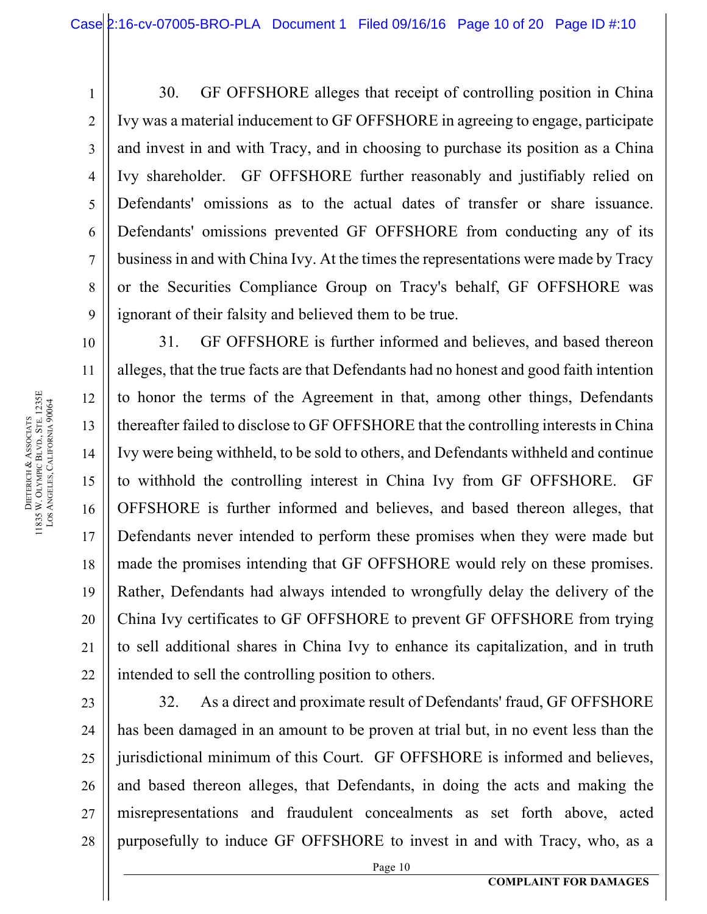30. GF OFFSHORE alleges that receipt of controlling position in China Ivy was a material inducement to GF OFFSHORE in agreeing to engage, participate and invest in and with Tracy, and in choosing to purchase its position as a China Ivy shareholder. GF OFFSHORE further reasonably and justifiably relied on Defendants' omissions as to the actual dates of transfer or share issuance. Defendants' omissions prevented GF OFFSHORE from conducting any of its business in and with China Ivy. At the times the representations were made by Tracy or the Securities Compliance Group on Tracy's behalf, GF OFFSHORE was ignorant of their falsity and believed them to be true.

10 10 11 11 12 12 13 13 14 14 15 15 16 16 17 17 18 18 19 19 20 20 21 21 22 22 31. GF OFFSHORE is further informed and believes, and based thereon alleges, that the true facts are that Defendants had no honest and good faith intention to honor the terms of the Agreement in that, among other things, Defendants thereafter failed to disclose to GF OFFSHORE that the controlling interests in China Ivy were being withheld, to be sold to others, and Defendants withheld and continue to withhold the controlling interest in China Ivy from GF OFFSHORE. GF OFFSHORE is further informed and believes, and based thereon alleges, that Defendants never intended to perform these promises when they were made but made the promises intending that GF OFFSHORE would rely on these promises. Rather, Defendants had always intended to wrongfully delay the delivery of the China Ivy certificates to GF OFFSHORE to prevent GF OFFSHORE from trying to sell additional shares in China Ivy to enhance its capitalization, and in truth intended to sell the controlling position to others.

23 23 24 24 25 25 26 26 27 27 28 28 32. As a direct and proximate result of Defendants' fraud, GF OFFSHORE has been damaged in an amount to be proven at trial but, in no event less than the jurisdictional minimum of this Court. GF OFFSHORE is informed and believes, and based thereon alleges, that Defendants, in doing the acts and making the misrepresentations and fraudulent concealments as set forth above, acted purposefully to induce GF OFFSHORE to invest in and with Tracy, who, as a

1 1

2 2

3 3

4 4

5 5

6 6

7 7

8 8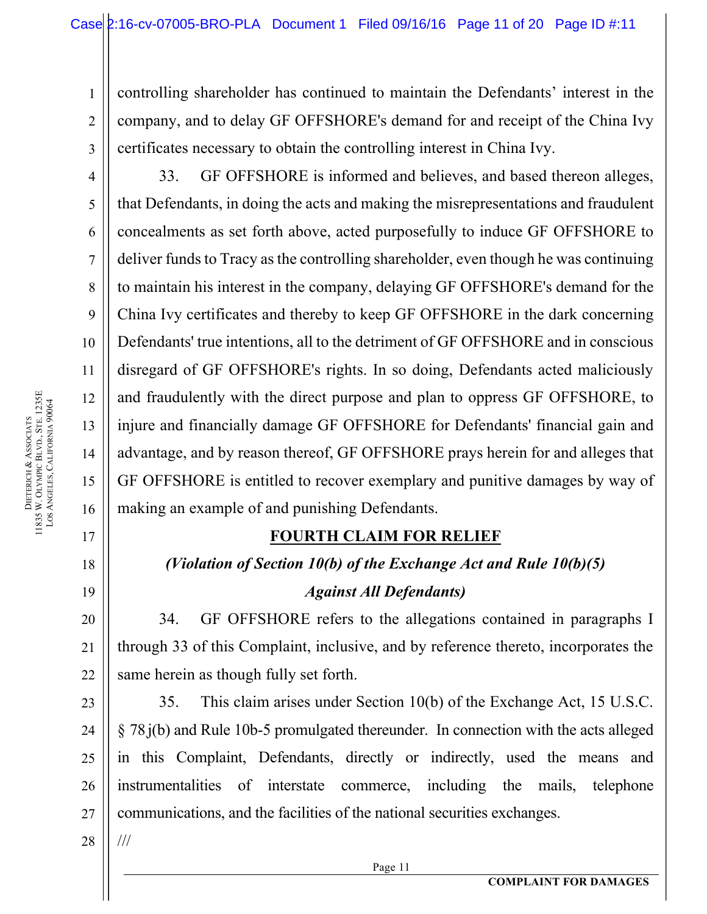controlling shareholder has continued to maintain the Defendants' interest in the company, and to delay GF OFFSHORE's demand for and receipt of the China Ivy certificates necessary to obtain the controlling interest in China Ivy.

33. GF OFFSHORE is informed and believes, and based thereon alleges, that Defendants, in doing the acts and making the misrepresentations and fraudulent concealments as set forth above, acted purposefully to induce GF OFFSHORE to deliver funds to Tracy as the controlling shareholder, even though he was continuing to maintain his interest in the company, delaying GF OFFSHORE's demand for the China Ivy certificates and thereby to keep GF OFFSHORE in the dark concerning Defendants' true intentions, all to the detriment of GF OFFSHORE and in conscious disregard of GF OFFSHORE's rights. In so doing, Defendants acted maliciously and fraudulently with the direct purpose and plan to oppress GF OFFSHORE, to injure and financially damage GF OFFSHORE for Defendants' financial gain and advantage, and by reason thereof, GF OFFSHORE prays herein for and alleges that GF OFFSHORE is entitled to recover exemplary and punitive damages by way of making an example of and punishing Defendants.

## **FOURTH CLAIM FOR RELIEF**

## *(Violation of Section 10(b) of the Exchange Act and Rule 10(b)(5)*

### *Against All Defendants)*

34. GF OFFSHORE refers to the allegations contained in paragraphs I through 33 of this Complaint, inclusive, and by reference thereto, incorporates the same herein as though fully set forth.

23 23 24 24 25 25 26 26 27 27 35. This claim arises under Section 10(b) of the Exchange Act, 15 U.S.C. § 78.j(b) and Rule 10b-5 promulgated thereunder. In connection with the acts alleged in this Complaint, Defendants, directly or indirectly, used the means and instrumentalities of interstate commerce, including the mails, telephone communications, and the facilities of the national securities exchanges.

28 28

///

Page 11

1 1

2 2

3 3

4 4

5 5

6 6

7 7

8 8

9 9

10 10

11 11

12 12

13 13

14 14

15 15

16 16

17 17

18 18

19 19

20 20

21 21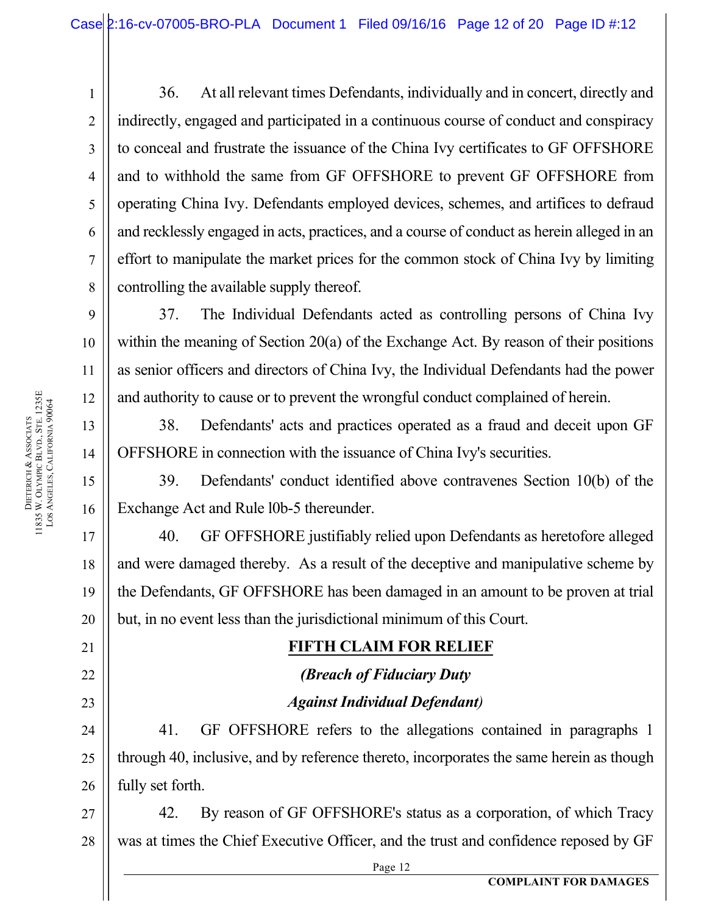36. At all relevant times Defendants, individually and in concert, directly and indirectly, engaged and participated in a continuous course of conduct and conspiracy to conceal and frustrate the issuance of the China Ivy certificates to GF OFFSHORE and to withhold the same from GF OFFSHORE to prevent GF OFFSHORE from operating China Ivy. Defendants employed devices, schemes, and artifices to defraud and recklessly engaged in acts, practices, and a course of conduct as herein alleged in an effort to manipulate the market prices for the common stock of China Ivy by limiting controlling the available supply thereof.

37. The Individual Defendants acted as controlling persons of China Ivy within the meaning of Section 20(a) of the Exchange Act. By reason of their positions as senior officers and directors of China Ivy, the Individual Defendants had the power and authority to cause or to prevent the wrongful conduct complained of herein.

38. Defendants' acts and practices operated as a fraud and deceit upon GF OFFSHORE in connection with the issuance of China Ivy's securities.

39. Defendants' conduct identified above contravenes Section 10(b) of the Exchange Act and Rule l0b-5 thereunder.

40. GF OFFSHORE justifiably relied upon Defendants as heretofore alleged and were damaged thereby. As a result of the deceptive and manipulative scheme by the Defendants, GF OFFSHORE has been damaged in an amount to be proven at trial but, in no event less than the jurisdictional minimum of this Court.

# **FIFTH CLAIM FOR RELIEF**

# *(Breach of Fiduciary Duty Against Individual Defendant)*

41. GF OFFSHORE refers to the allegations contained in paragraphs 1 through 40, inclusive, and by reference thereto, incorporates the same herein as though fully set forth.

27 27 28 28 42. By reason of GF OFFSHORE's status as a corporation, of which Tracy was at times the Chief Executive Officer, and the trust and confidence reposed by GF

Page 12

1 1

2 2

3 3

4 4

5 5

6 6

7 7

8 8

9 9

10 10

11 11

12 12

13 13

14 14

15 15

16 16

17 17

18 18

19 19

20 20

21 21

22 22

23 23

24 24

25 25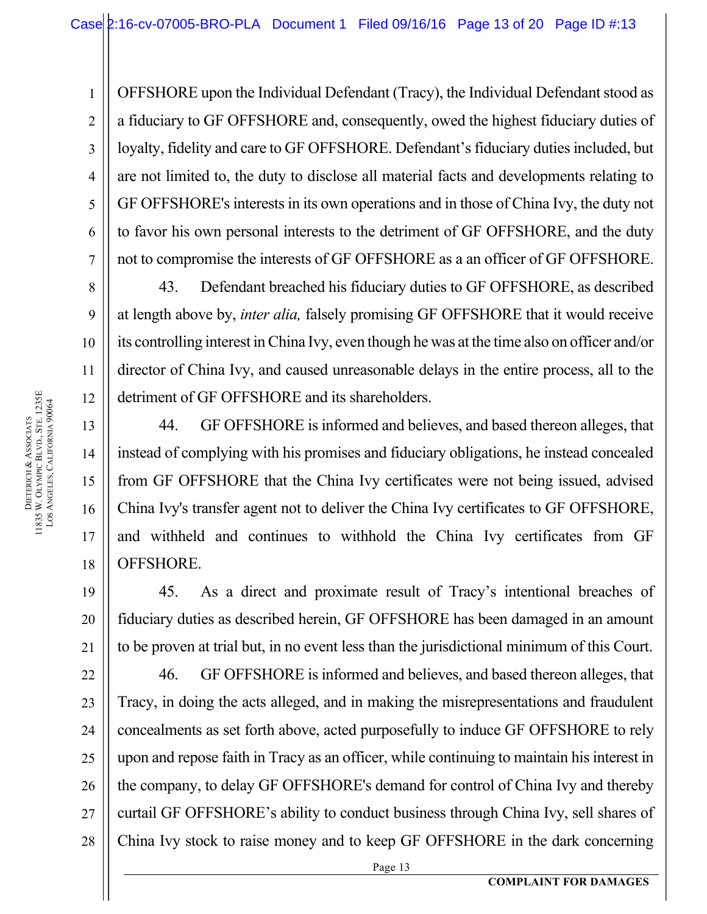OFFSHORE upon the Individual Defendant (Tracy), the Individual Defendant stood as a fiduciary to GF OFFSHORE and, consequently, owed the highest fiduciary duties of loyalty, fidelity and care to GF OFFSHORE. Defendant's fiduciary duties included, but are not limited to, the duty to disclose all material facts and developments relating to GF OFFSHORE's interests in its own operations and in those of China Ivy, the duty not to favor his own personal interests to the detriment of GF OFFSHORE, and the duty not to compromise the interests of GF OFFSHORE as a an officer of GF OFFSHORE.

43. Defendant breached his fiduciary duties to GF OFFSHORE, as described at length above by, *inter alia,* falsely promising GF OFFSHORE that it would receive its controlling interest in China Ivy, even though he was at the time also on officer and/or director of China Ivy, and caused unreasonable delays in the entire process, all to the detriment of GF OFFSHORE and its shareholders.

44. GF OFFSHORE is informed and believes, and based thereon alleges, that instead of complying with his promises and fiduciary obligations, he instead concealed from GF OFFSHORE that the China Ivy certificates were not being issued, advised China Ivy's transfer agent not to deliver the China Ivy certificates to GF OFFSHORE, and withheld and continues to withhold the China Ivy certificates from GF OFFSHORE.

45. As a direct and proximate result of Tracy's intentional breaches of fiduciary duties as described herein, GF OFFSHORE has been damaged in an amount to be proven at trial but, in no event less than the jurisdictional minimum of this Court.

22 22 23 23 24 24 25 25 26 26 27 27 28 28 46. GF OFFSHORE is informed and believes, and based thereon alleges, that Tracy, in doing the acts alleged, and in making the misrepresentations and fraudulent concealments as set forth above, acted purposefully to induce GF OFFSHORE to rely upon and repose faith in Tracy as an officer, while continuing to maintain his interest in the company, to delay GF OFFSHORE's demand for control of China Ivy and thereby curtail GF OFFSHORE's ability to conduct business through China Ivy, sell shares of China Ivy stock to raise money and to keep GF OFFSHORE in the dark concerning

1 1

2 2

3 3

4 4

5 5

6 6

7 7

8 8

9 9

10 10

11 11

12 12

13 13

14 14

15 15

16 16

17 17

18 18

19 19

20 20

21 21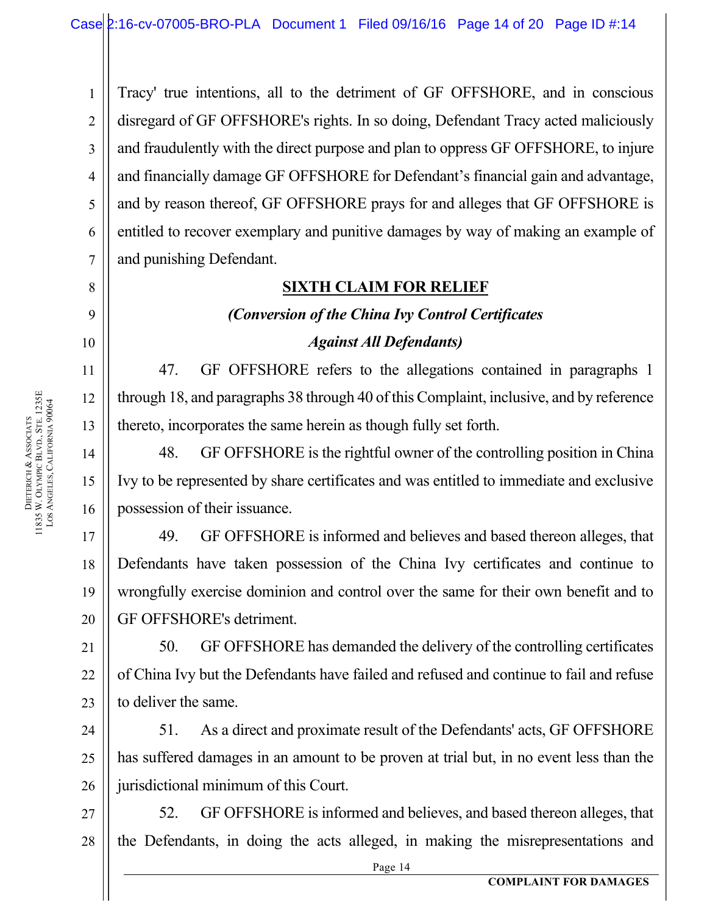Tracy' true intentions, all to the detriment of GF OFFSHORE, and in conscious disregard of GF OFFSHORE's rights. In so doing, Defendant Tracy acted maliciously and fraudulently with the direct purpose and plan to oppress GF OFFSHORE, to injure and financially damage GF OFFSHORE for Defendant's financial gain and advantage, and by reason thereof, GF OFFSHORE prays for and alleges that GF OFFSHORE is entitled to recover exemplary and punitive damages by way of making an example of and punishing Defendant.

### **SIXTH CLAIM FOR RELIEF**

#### *(Conversion of the China Ivy Control Certificates*

#### *Against All Defendants)*

47. GF OFFSHORE refers to the allegations contained in paragraphs 1 through 18, and paragraphs 38 through 40 of this Complaint, inclusive, and by reference thereto, incorporates the same herein as though fully set forth.

48. GF OFFSHORE is the rightful owner of the controlling position in China Ivy to be represented by share certificates and was entitled to immediate and exclusive possession of their issuance.

17 17 18 18 19 19 20 20 49. GF OFFSHORE is informed and believes and based thereon alleges, that Defendants have taken possession of the China Ivy certificates and continue to wrongfully exercise dominion and control over the same for their own benefit and to GF OFFSHORE's detriment.

50. GF OFFSHORE has demanded the delivery of the controlling certificates of China Ivy but the Defendants have failed and refused and continue to fail and refuse to deliver the same.

24 24 25 25 26 26 51. As a direct and proximate result of the Defendants' acts, GF OFFSHORE has suffered damages in an amount to be proven at trial but, in no event less than the jurisdictional minimum of this Court.

27 27 28 28 52. GF OFFSHORE is informed and believes, and based thereon alleges, that the Defendants, in doing the acts alleged, in making the misrepresentations and

1 1

2 2

3 3

4 4

5 5

6 6

7 7

8 8

9 9

10 10

11 11

12 12

13 13

14 14

15 15

16 16

21 21

22 22

23 23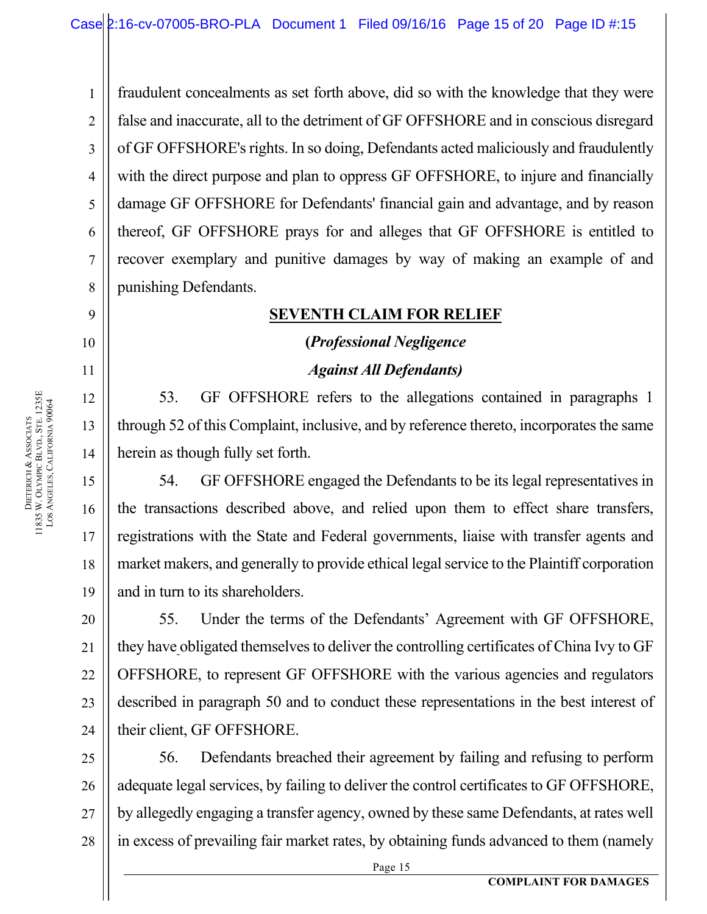1 1 2 2 3 3 4 4 5 5 6 6 7 7 8 8 fraudulent concealments as set forth above, did so with the knowledge that they were false and inaccurate, all to the detriment of GF OFFSHORE and in conscious disregard of GF OFFSHORE's rights. In so doing, Defendants acted maliciously and fraudulently with the direct purpose and plan to oppress GF OFFSHORE, to injure and financially damage GF OFFSHORE for Defendants' financial gain and advantage, and by reason thereof, GF OFFSHORE prays for and alleges that GF OFFSHORE is entitled to recover exemplary and punitive damages by way of making an example of and punishing Defendants.

### **SEVENTH CLAIM FOR RELIEF**

# **(***Professional Negligence Against All Defendants)*

53. GF OFFSHORE refers to the allegations contained in paragraphs 1 through 52 of this Complaint, inclusive, and by reference thereto, incorporates the same herein as though fully set forth.

54. GF OFFSHORE engaged the Defendants to be its legal representatives in the transactions described above, and relied upon them to effect share transfers, registrations with the State and Federal governments, liaise with transfer agents and market makers, and generally to provide ethical legal service to the Plaintiff corporation and in turn to its shareholders.

55. Under the terms of the Defendants' Agreement with GF OFFSHORE, they have obligated themselves to deliver the controlling certificates of China Ivy to GF OFFSHORE, to represent GF OFFSHORE with the various agencies and regulators described in paragraph 50 and to conduct these representations in the best interest of their client, GF OFFSHORE.

25 25 26 26 27 27 28 28 56. Defendants breached their agreement by failing and refusing to perform adequate legal services, by failing to deliver the control certificates to GF OFFSHORE, by allegedly engaging a transfer agency, owned by these same Defendants, at rates well in excess of prevailing fair market rates, by obtaining funds advanced to them (namely

9 9

10 10

11 11

12 12

13 13

14 14

15 15

16 16

17 17

18 18

19 19

20 20

21 21

22 22

23 23

24 24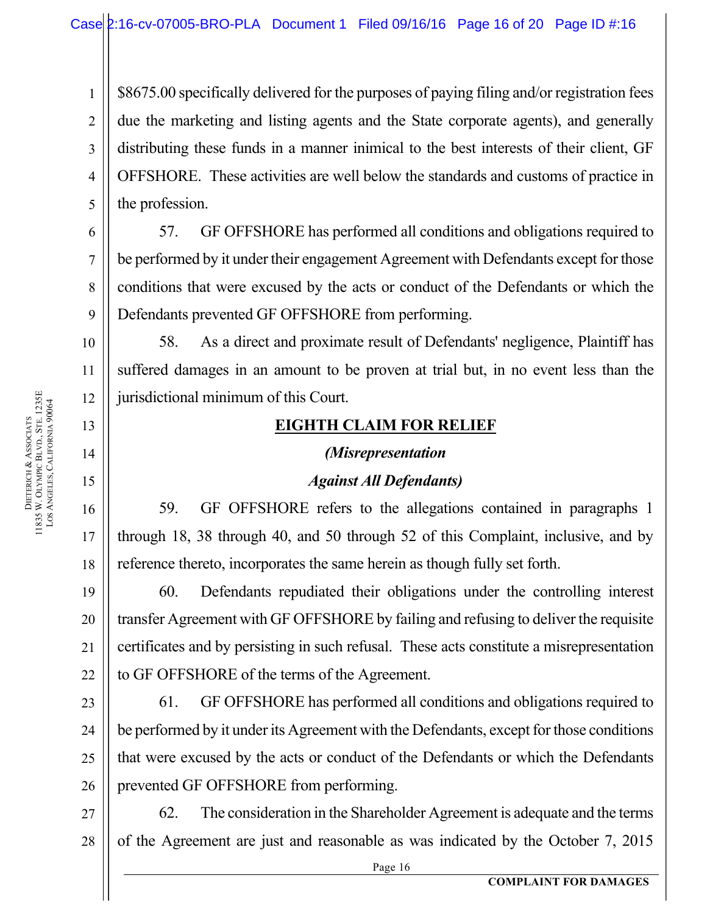\$8675.00 specifically delivered for the purposes of paying filing and/or registration fees due the marketing and listing agents and the State corporate agents), and generally distributing these funds in a manner inimical to the best interests of their client, GF OFFSHORE. These activities are well below the standards and customs of practice in the profession.

57. GF OFFSHORE has performed all conditions and obligations required to be performed by it under their engagement Agreement with Defendants except for those conditions that were excused by the acts or conduct of the Defendants or which the Defendants prevented GF OFFSHORE from performing.

58. As a direct and proximate result of Defendants' negligence, Plaintiff has suffered damages in an amount to be proven at trial but, in no event less than the jurisdictional minimum of this Court.

### **EIGHTH CLAIM FOR RELIEF**

# *(Misrepresentation Against All Defendants)*

59. GF OFFSHORE refers to the allegations contained in paragraphs 1 through 18, 38 through 40, and 50 through 52 of this Complaint, inclusive, and by reference thereto, incorporates the same herein as though fully set forth.

60. Defendants repudiated their obligations under the controlling interest transfer Agreement with GF OFFSHORE by failing and refusing to deliver the requisite certificates and by persisting in such refusal. These acts constitute a misrepresentation to GF OFFSHORE of the terms of the Agreement.

23 23 24 24 25 25 26 26 61. GF OFFSHORE has performed all conditions and obligations required to be performed by it under its Agreement with the Defendants, except for those conditions that were excused by the acts or conduct of the Defendants or which the Defendants prevented GF OFFSHORE from performing.

27 27 28 28 62. The consideration in the Shareholder Agreement is adequate and the terms of the Agreement are just and reasonable as was indicated by the October 7, 2015

1 1

2 2

3 3

4 4

5 5

6 6

7 7

8 8

9 9

10 10

11 11

12 12

13 13

14 14

15 15

16 16

17 17

18 18

19 19

20 20

21 21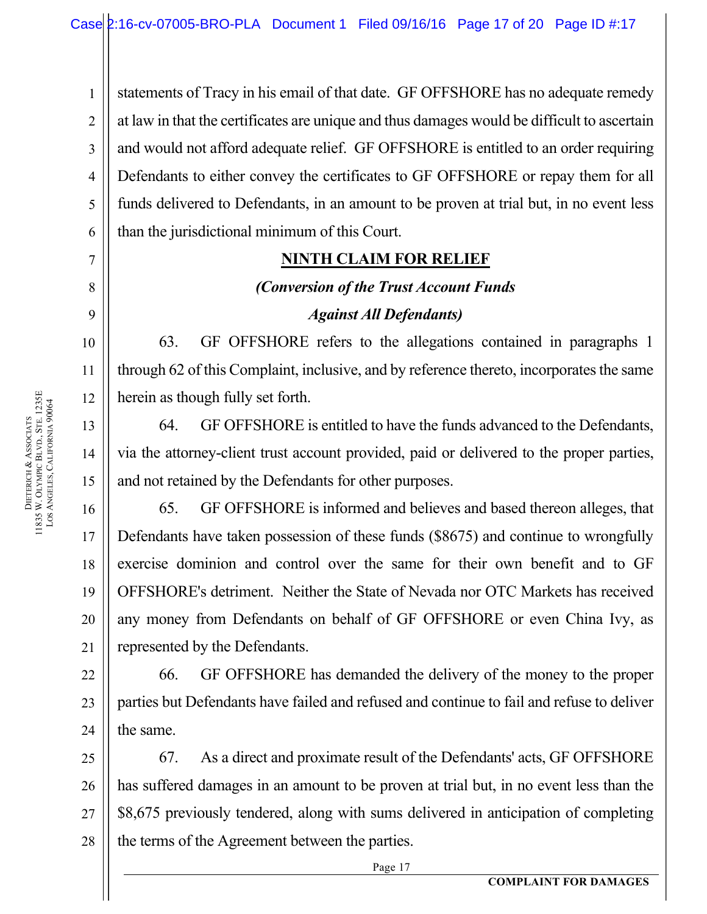statements of Tracy in his email of that date. GF OFFSHORE has no adequate remedy at law in that the certificates are unique and thus damages would be difficult to ascertain and would not afford adequate relief. GF OFFSHORE is entitled to an order requiring Defendants to either convey the certificates to GF OFFSHORE or repay them for all funds delivered to Defendants, in an amount to be proven at trial but, in no event less than the jurisdictional minimum of this Court.

### **NINTH CLAIM FOR RELIEF**

# *(Conversion of the Trust Account Funds Against All Defendants)*

63. GF OFFSHORE refers to the allegations contained in paragraphs 1 through 62 of this Complaint, inclusive, and by reference thereto, incorporates the same herein as though fully set forth.

64. GF OFFSHORE is entitled to have the funds advanced to the Defendants, via the attorney-client trust account provided, paid or delivered to the proper parties, and not retained by the Defendants for other purposes.

65. GF OFFSHORE is informed and believes and based thereon alleges, that Defendants have taken possession of these funds (\$8675) and continue to wrongfully exercise dominion and control over the same for their own benefit and to GF OFFSHORE's detriment. Neither the State of Nevada nor OTC Markets has received any money from Defendants on behalf of GF OFFSHORE or even China Ivy, as represented by the Defendants.

22 22 23 23 24 24 66. GF OFFSHORE has demanded the delivery of the money to the proper parties but Defendants have failed and refused and continue to fail and refuse to deliver the same.

25 25 26 26 27 27 28 28 67. As a direct and proximate result of the Defendants' acts, GF OFFSHORE has suffered damages in an amount to be proven at trial but, in no event less than the \$8,675 previously tendered, along with sums delivered in anticipation of completing the terms of the Agreement between the parties.

Page 17

1 1

2 2

3 3

4 4

5 5

6 6

7 7

8 8

9 9

10 10

11 11

12 12

13 13

14 14

15 15

16 16

17 17

18 18

19 19

20 20

21 21

**COMPLAINT FOR DAMAGES**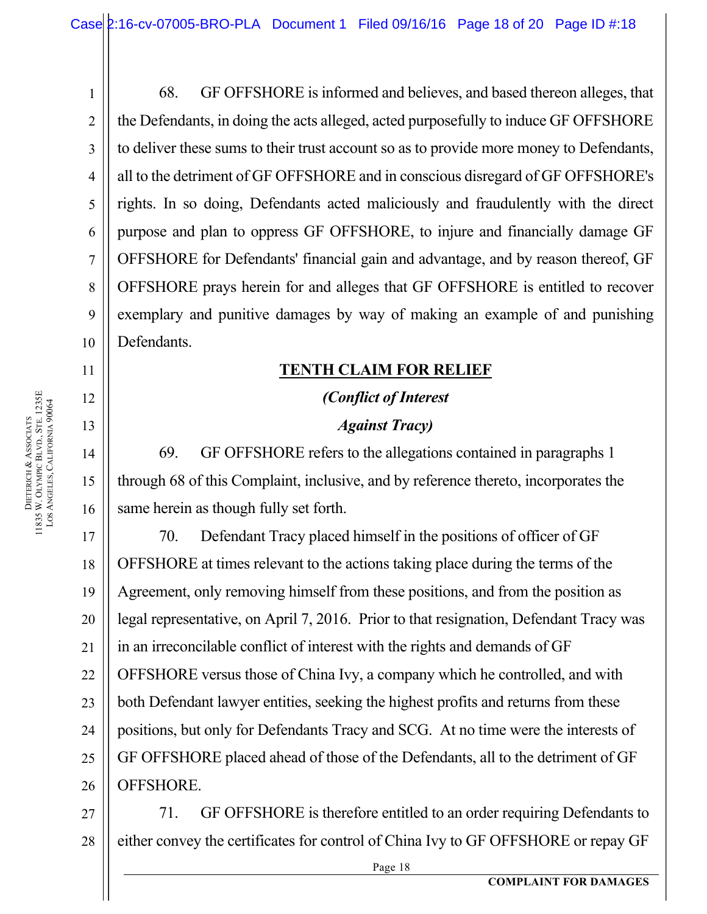68. GF OFFSHORE is informed and believes, and based thereon alleges, that the Defendants, in doing the acts alleged, acted purposefully to induce GF OFFSHORE to deliver these sums to their trust account so as to provide more money to Defendants, all to the detriment of GF OFFSHORE and in conscious disregard of GF OFFSHORE's rights. In so doing, Defendants acted maliciously and fraudulently with the direct purpose and plan to oppress GF OFFSHORE, to injure and financially damage GF OFFSHORE for Defendants' financial gain and advantage, and by reason thereof, GF OFFSHORE prays herein for and alleges that GF OFFSHORE is entitled to recover exemplary and punitive damages by way of making an example of and punishing Defendants.

### **TENTH CLAIM FOR RELIEF**

# *(Conflict of Interest Against Tracy)*

69. GF OFFSHORE refers to the allegations contained in paragraphs 1 through 68 of this Complaint, inclusive, and by reference thereto, incorporates the same herein as though fully set forth.

17 17 18 18 19 19 20 20 21 21 22 22 23 23 24 24 25 25 26 26 70. Defendant Tracy placed himself in the positions of officer of GF OFFSHORE at times relevant to the actions taking place during the terms of the Agreement, only removing himself from these positions, and from the position as legal representative, on April 7, 2016. Prior to that resignation, Defendant Tracy was in an irreconcilable conflict of interest with the rights and demands of GF OFFSHORE versus those of China Ivy, a company which he controlled, and with both Defendant lawyer entities, seeking the highest profits and returns from these positions, but only for Defendants Tracy and SCG. At no time were the interests of GF OFFSHORE placed ahead of those of the Defendants, all to the detriment of GF OFFSHORE.

27 27 28 28 71. GF OFFSHORE is therefore entitled to an order requiring Defendants to either convey the certificates for control of China Ivy to GF OFFSHORE or repay GF

Page 18

1 1

2 2

3 3

4 4

5 5

6 6

7 7

8 8

9 9

10 10

11 11

12 12

13 13

14 14

15 15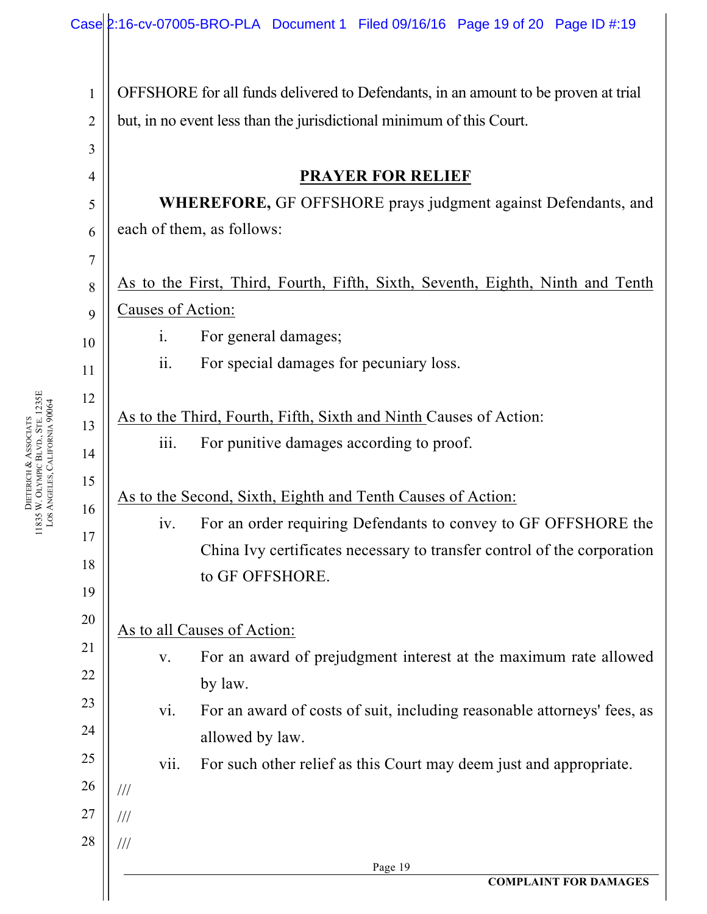|                                | Case 2:16-cv-07005-BRO-PLA Document 1 Filed 09/16/16 Page 19 of 20 Page ID #:19    |  |  |  |  |  |  |  |
|--------------------------------|------------------------------------------------------------------------------------|--|--|--|--|--|--|--|
| $\mathbf{1}$<br>$\overline{2}$ | OFFSHORE for all funds delivered to Defendants, in an amount to be proven at trial |  |  |  |  |  |  |  |
| $\mathfrak{Z}$                 | but, in no event less than the jurisdictional minimum of this Court.               |  |  |  |  |  |  |  |
| $\overline{4}$                 | <b>PRAYER FOR RELIEF</b>                                                           |  |  |  |  |  |  |  |
| 5                              | WHEREFORE, GF OFFSHORE prays judgment against Defendants, and                      |  |  |  |  |  |  |  |
| 6                              | each of them, as follows:                                                          |  |  |  |  |  |  |  |
| 7                              |                                                                                    |  |  |  |  |  |  |  |
| 8                              | As to the First, Third, Fourth, Fifth, Sixth, Seventh, Eighth, Ninth and Tenth     |  |  |  |  |  |  |  |
| 9                              | Causes of Action:                                                                  |  |  |  |  |  |  |  |
| 10                             | For general damages;<br>$\mathbf{i}$ .                                             |  |  |  |  |  |  |  |
| 11                             | $\overline{\mathbf{11}}$ .<br>For special damages for pecuniary loss.              |  |  |  |  |  |  |  |
| 12                             |                                                                                    |  |  |  |  |  |  |  |
| 13                             | As to the Third, Fourth, Fifth, Sixth and Ninth Causes of Action:                  |  |  |  |  |  |  |  |
| 14                             | iii.<br>For punitive damages according to proof.                                   |  |  |  |  |  |  |  |
| 15                             | As to the Second, Sixth, Eighth and Tenth Causes of Action:                        |  |  |  |  |  |  |  |
| 16                             | iv. For an order requiring Defendants to convey to GF OFFSHORE the                 |  |  |  |  |  |  |  |
| 17                             | China Ivy certificates necessary to transfer control of the corporation            |  |  |  |  |  |  |  |
| 18                             | to GF OFFSHORE.                                                                    |  |  |  |  |  |  |  |
| 19                             |                                                                                    |  |  |  |  |  |  |  |
| 20                             | As to all Causes of Action:                                                        |  |  |  |  |  |  |  |
| 21                             | For an award of prejudgment interest at the maximum rate allowed<br>V.             |  |  |  |  |  |  |  |
| 22                             | by law.                                                                            |  |  |  |  |  |  |  |
| 23<br>24                       | For an award of costs of suit, including reasonable attorneys' fees, as<br>vi.     |  |  |  |  |  |  |  |
| 25                             | allowed by law.                                                                    |  |  |  |  |  |  |  |
| 26                             | vii.<br>For such other relief as this Court may deem just and appropriate.         |  |  |  |  |  |  |  |
| 27                             | $\frac{1}{1}$<br>$\frac{1}{1}$                                                     |  |  |  |  |  |  |  |
| 28                             | $/\!/ /$                                                                           |  |  |  |  |  |  |  |
|                                | Page 19                                                                            |  |  |  |  |  |  |  |
|                                | <b>COMPLAINT FOR DAMAGES</b>                                                       |  |  |  |  |  |  |  |

**DIETERICH** & ASSOCIATS W. OLYMPIC BLVD., STE. 1235E LOS ANGELES, CALIFORNIA 90064